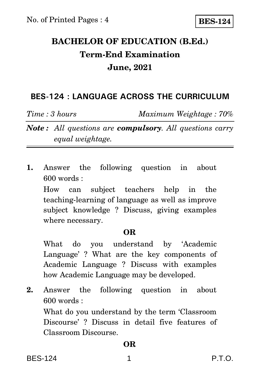# **BACHELOR OF EDUCATION (B.Ed.) Term-End Examination June, 2021**

### **BES-124 : LANGUAGE ACROSS THE CURRICULUM**

*Time : 3 hours Maximum Weightage : 70%*

*Note : All questions are compulsory. All questions carry equal weightage.*

**1.** Answer the following question in about 600 words :

How can subject teachers help in the teaching-learning of language as well as improve subject knowledge ? Discuss, giving examples where necessary.

### **OR**

What do you understand by 'Academic Language' ? What are the key components of Academic Language ? Discuss with examples how Academic Language may be developed.

**2.** Answer the following question in about 600 words :

What do you understand by the term 'Classroom Discourse' ? Discuss in detail five features of Classroom Discourse.

### **OR**

BES-124 1 P.T.O.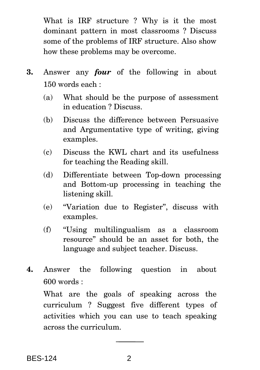What is IRF structure ? Why is it the most dominant pattern in most classrooms ? Discuss some of the problems of IRF structure. Also show how these problems may be overcome.

- **3.** Answer any *four* of the following in about 150 words each :
	- (a) What should be the purpose of assessment in education ? Discuss.
	- (b) Discuss the difference between Persuasive and Argumentative type of writing, giving examples.
	- (c) Discuss the KWL chart and its usefulness for teaching the Reading skill.
	- (d) Differentiate between Top-down processing and Bottom-up processing in teaching the listening skill.
	- (e) ''Variation due to Register'', discuss with examples.
	- (f) ''Using multilingualism as a classroom resource'' should be an asset for both, the language and subject teacher. Discuss.
- **4.** Answer the following question in about 600 words :

What are the goals of speaking across the curriculum ? Suggest five different types of activities which you can use to teach speaking across the curriculum.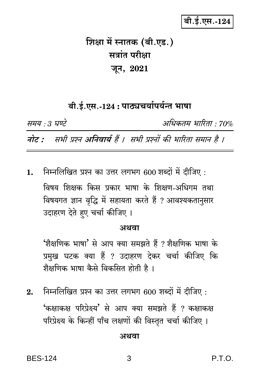बी.ई.एस.-124

# शिक्षा में स्नातक (बी.एड.) सत्रांत परीक्षा जून, 2021

### बी.ई.एस.-124 : पाठ्यचर्यापर्यन्त भाषा

समय : 3 घण्टे अधिकतम भारिता · 70% नोट : सभी प्रश्न अनिवार्य हैं । सभी प्रश्नों की भारिता समान है ।

निम्नलिखित प्रश्न का उत्तर लगभग 600 शब्दों में दीजिए :  $1.$ विषय शिक्षक किस प्रकार भाषा के शिक्षण-अधिगम तथा विषयगत ज्ञान वृद्धि में सहायता करते हैं ? आवश्यकतानुसार उदाहरण देते हुए चर्चा कीजिए ।

#### अथवा

'शैक्षणिक भाषा' से आप क्या समझते हैं ? शैक्षणिक भाषा के प्रमुख घटक क्या हैं ? उदाहरण देकर चर्चा कीजिए कि शैक्षणिक भाषा कैसे विकसित होती है।

निम्नलिखित प्रश्न का उत्तर लगभग 600 शब्दों में दीजिए:  $2.$ 'कक्षाकक्ष परिप्रेक्ष्य' से आप क्या समझते हैं ? कक्षाकक्ष परिप्रेक्ष्य के किन्हीं पाँच लक्षणों की विस्तृत चर्चा कीजिए।

#### अथवा